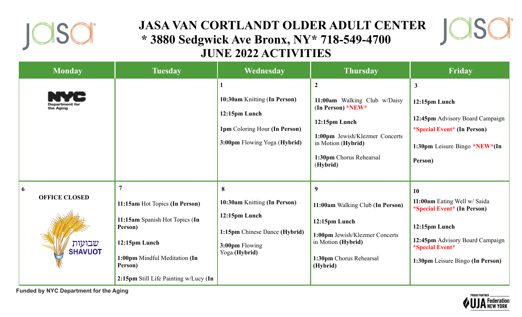

## **JASA VAN CORTLANDT OLDER ADULT CENTER \* 3880 Sedgwick Ave Bronx, NY\* 718-549-4700 JUNE 2022 ACTIVITIES**



| <b>Monday</b>                                         | <b>Tuesday</b>                                                                                                                                                                                      | Wednesday                                                                                                              | <b>Thursday</b>                                                                                                                                                                           | Friday                                                                                                                                                                       |
|-------------------------------------------------------|-----------------------------------------------------------------------------------------------------------------------------------------------------------------------------------------------------|------------------------------------------------------------------------------------------------------------------------|-------------------------------------------------------------------------------------------------------------------------------------------------------------------------------------------|------------------------------------------------------------------------------------------------------------------------------------------------------------------------------|
|                                                       |                                                                                                                                                                                                     | 10:30am Knitting (In Person)<br>12:15pm Lunch<br>1pm Coloring Hour (In Person)<br>3:00pm Flowing Yoga (Hybrid)         | $\boldsymbol{2}$<br>11:00am Walking Club w/Daisy<br>(In Person) * $NEW^*$<br>12:15pm Lunch<br>1:00pm Jewish/Klezmer Concerts<br>in Motion (Hybrid)<br>1:30pm Chorus Rehearsal<br>(Hybrid) | $\mathbf{3}$<br>12:15pm Lunch<br>12:45pm Advisory Board Campaign<br><i>*Special Event*</i> (In Person)<br>1:30pm Leisure Bingo *NEW*(In<br>Person)                           |
| 6<br><b>OFFICE CLOSED</b><br>שבועות<br><b>SHAVUOT</b> | $\overline{7}$<br>11:15am Hot Topics (In Person)<br>11:15am Spanish Hot Topics (In<br>Person)<br>12:15pm Lunch<br>1:00pm Mindful Meditation (In<br>Person)<br>2:15pm Still Life Painting w/Lucy (In | 8<br>10:30am Knitting (In Person)<br>12:15pm Lunch<br>1:15pm Chinese Dance (Hybrid)<br>3:00pm Flowing<br>Yoga (Hybrid) | 9<br>11:00am Walking Club (In Person)<br>12:15pm Lunch<br>1:00pm Jewish/Klezmer Concerts<br>in Motion (Hybrid)<br>1:30pm Chorus Rehearsal<br>(Hybrid)                                     | 10<br>11:00am Eating Well w/ Saida<br>*Special Event* (In Person)<br>12:15pm Lunch<br>12:45pm Advisory Board Campaign<br>*Special Event*<br>1:30pm Leisure Bingo (In Person) |

**Funded by NYC Department for the Aging**

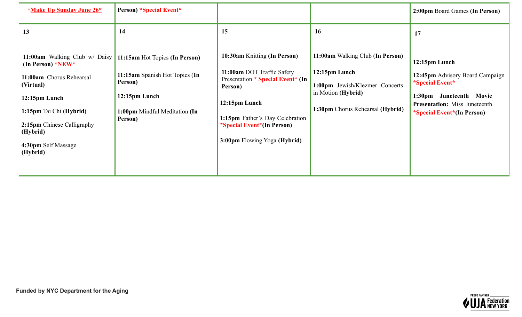| *Make Up Sunday June 26*                                                                                                                                                           | <b>Person) *Special Event*</b>                                                                    |                                                                                                                                   |                                                                                                                                                     | 2:00pm Board Games (In Person)                                                                                                                                                                      |
|------------------------------------------------------------------------------------------------------------------------------------------------------------------------------------|---------------------------------------------------------------------------------------------------|-----------------------------------------------------------------------------------------------------------------------------------|-----------------------------------------------------------------------------------------------------------------------------------------------------|-----------------------------------------------------------------------------------------------------------------------------------------------------------------------------------------------------|
| 13<br>11:00am Walking Club w/ Daisy   11:15am Hot Topics (In Person)<br>(In Person) * $NEW$ *<br>11:00am Chorus Rehearsal<br>(Virtual)<br>12:15pm Lunch<br>1:15pm Tai Chi (Hybrid) | 14<br>11:15am Spanish Hot Topics (In<br>Person)<br>12:15pm Lunch<br>1:00pm Mindful Meditation (In | 15<br>10:30am Knitting (In Person)<br>11:00am DOT Traffic Safety<br>Presentation * Special Event* (In<br>Person)<br>12:15pm Lunch | 16<br>11:00am Walking Club (In Person)<br>12:15pm Lunch<br>1:00pm Jewish/Klezmer Concerts<br>in Motion (Hybrid)<br>1:30pm Chorus Rehearsal (Hybrid) | 17<br>12:15pm Lunch<br>12:45pm Advisory Board Campaign<br><i><b>*Special Event*</b></i><br>1:30pm<br>Juneteenth Movie<br><b>Presentation:</b> Miss Juneteenth<br><i>*Special Event*</i> (In Person) |
| 2:15pm Chinese Calligraphy<br>(Hybrid)<br>4:30pm Self Massage<br>(Hybrid)                                                                                                          | Person)                                                                                           | 1:15pm Father's Day Celebration<br><i>*Special Event*</i> (In Person)<br>3:00pm Flowing Yoga (Hybrid)                             |                                                                                                                                                     |                                                                                                                                                                                                     |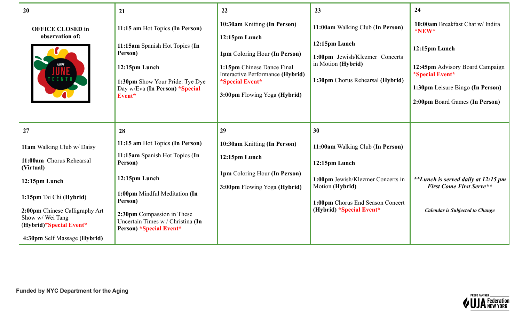| 20                                                                                                                                                                                                                               | 21                                                                                                                                                                                                                                             | 22                                                                                                                                                                                                                | 23                                                                                                                                                                        | 24                                                                                                                                                                                                   |
|----------------------------------------------------------------------------------------------------------------------------------------------------------------------------------------------------------------------------------|------------------------------------------------------------------------------------------------------------------------------------------------------------------------------------------------------------------------------------------------|-------------------------------------------------------------------------------------------------------------------------------------------------------------------------------------------------------------------|---------------------------------------------------------------------------------------------------------------------------------------------------------------------------|------------------------------------------------------------------------------------------------------------------------------------------------------------------------------------------------------|
| <b>OFFICE CLOSED in</b><br>observation of:                                                                                                                                                                                       | 11:15 am Hot Topics (In Person)<br>11:15am Spanish Hot Topics (In<br>Person)<br>12:15pm Lunch<br>1:30pm Show Your Pride: Tye Dye<br>Day w/Eva (In Person) *Special<br>Event*                                                                   | 10:30am Knitting (In Person)<br>12:15pm Lunch<br>1pm Coloring Hour (In Person)<br>1:15pm Chinese Dance Final<br>Interactive Performance (Hybrid)<br><i><b>*Special Event*</b></i><br>3:00pm Flowing Yoga (Hybrid) | 11:00am Walking Club (In Person)<br>12:15pm Lunch<br>1:00pm Jewish/Klezmer Concerts<br>in Motion (Hybrid)<br>1:30pm Chorus Rehearsal (Hybrid)                             | 10:00am Breakfast Chat w/ Indira<br>*NEW*<br>12:15pm Lunch<br>12:45pm Advisory Board Campaign<br><i><b>*Special Event*</b></i><br>1:30pm Leisure Bingo (In Person)<br>2:00pm Board Games (In Person) |
| 27                                                                                                                                                                                                                               | 28                                                                                                                                                                                                                                             | 29                                                                                                                                                                                                                | 30                                                                                                                                                                        |                                                                                                                                                                                                      |
| 11am Walking Club w/ Daisy<br>11:00am Chorus Rehearsal<br>(Virtual)<br>12:15pm Lunch<br>1:15pm Tai Chi (Hybrid)<br>2:00pm Chinese Calligraphy Art<br>Show w/ Wei Tang<br>(Hybrid)*Special Event*<br>4:30pm Self Massage (Hybrid) | 11:15 am Hot Topics (In Person)<br>11:15am Spanish Hot Topics (In<br>Person)<br>12:15pm Lunch<br>1:00pm Mindful Meditation (In<br>Person)<br>2:30pm Compassion in These<br>Uncertain Times w / Christina (In<br><b>Person) *Special Event*</b> | 10:30am Knitting (In Person)<br>12:15pm Lunch<br>1pm Coloring Hour (In Person)<br>3:00pm Flowing Yoga (Hybrid)                                                                                                    | 11:00am Walking Club (In Person)<br>12:15pm Lunch<br>1:00pm Jewish/Klezmer Concerts in<br>Motion (Hybrid)<br>1:00pm Chorus End Season Concert<br>(Hybrid) *Special Event* | **Lunch is served daily at 12:15 pm<br><b>First Come First Serve**</b><br><b>Calendar is Subjected to Change</b>                                                                                     |

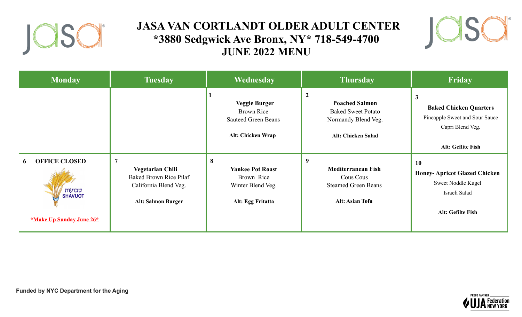

## **JASA VAN CORTLANDT OLDER ADULT CENTER \*3880 Sedgwick Ave Bronx, NY\* 718-549-4700 JUNE 2022 MENU**



| <b>Monday</b>                                                                                   | <b>Tuesday</b>                                                                                                                   | Wednesday                                                                                    | <b>Thursday</b>                                                                                                          | Friday                                                                                                                   |
|-------------------------------------------------------------------------------------------------|----------------------------------------------------------------------------------------------------------------------------------|----------------------------------------------------------------------------------------------|--------------------------------------------------------------------------------------------------------------------------|--------------------------------------------------------------------------------------------------------------------------|
|                                                                                                 |                                                                                                                                  | <b>Veggie Burger</b><br><b>Brown Rice</b><br><b>Sauteed Green Beans</b><br>Alt: Chicken Wrap | $\overline{2}$<br><b>Poached Salmon</b><br><b>Baked Sweet Potato</b><br>Normandy Blend Veg.<br><b>Alt: Chicken Salad</b> | $\mathbf{3}$<br><b>Baked Chicken Quarters</b><br>Pineapple Sweet and Sour Sauce<br>Capri Blend Veg.<br>Alt: Geflite Fish |
| <b>OFFICE CLOSED</b><br>6<br>שבועות<br><b>SHAVUOT</b><br><i><b>*Make Up Sunday June 26*</b></i> | $\overline{7}$<br><b>Vegetarian Chili</b><br><b>Baked Brown Rice Pilaf</b><br>California Blend Veg.<br><b>Alt: Salmon Burger</b> | 8<br><b>Yankee Pot Roast</b><br>Brown Rice<br>Winter Blend Veg.<br>Alt: Egg Fritatta         | 9<br><b>Mediterranean Fish</b><br>Cous Cous<br><b>Steamed Green Beans</b><br><b>Alt: Asian Tofu</b>                      | 10<br><b>Honey-Apricot Glazed Chicken</b><br>Sweet Noddle Kugel<br>Israeli Salad<br>Alt: Gefilte Fish                    |

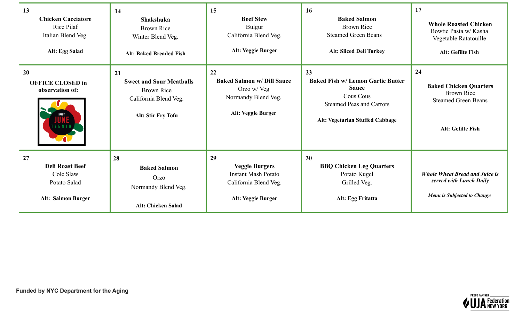| 13<br><b>Chicken Cacciatore</b><br>Rice Pilaf<br>Italian Blend Veg.<br>Alt: Egg Salad  | 14<br><b>Shakshuka</b><br><b>Brown Rice</b><br>Winter Blend Veg.<br><b>Alt: Baked Breaded Fish</b>        | 15<br><b>Beef Stew</b><br>Bulgur<br>California Blend Veg.<br>Alt: Veggie Burger                                 | 16<br><b>Baked Salmon</b><br><b>Brown Rice</b><br><b>Steamed Green Beans</b><br><b>Alt: Sliced Deli Turkey</b>                                    | 17<br><b>Whole Roasted Chicken</b><br>Bowtie Pasta w/ Kasha<br>Vegetable Ratatouille<br>Alt: Gefilte Fish   |
|----------------------------------------------------------------------------------------|-----------------------------------------------------------------------------------------------------------|-----------------------------------------------------------------------------------------------------------------|---------------------------------------------------------------------------------------------------------------------------------------------------|-------------------------------------------------------------------------------------------------------------|
| 20<br><b>OFFICE CLOSED in</b><br>observation of:                                       | 21<br><b>Sweet and Sour Meatballs</b><br><b>Brown Rice</b><br>California Blend Veg.<br>Alt: Stir Fry Tofu | 22<br><b>Baked Salmon w/ Dill Sauce</b><br>Orzo w/ Veg<br>Normandy Blend Veg.<br>Alt: Veggie Burger             | 23<br><b>Baked Fish w/ Lemon Garlic Butter</b><br><b>Sauce</b><br>Cous Cous<br><b>Steamed Peas and Carrots</b><br>Alt: Vegetarian Stuffed Cabbage | 24<br><b>Baked Chicken Quarters</b><br><b>Brown Rice</b><br><b>Steamed Green Beans</b><br>Alt: Gefilte Fish |
| 27<br><b>Deli Roast Beef</b><br>Cole Slaw<br>Potato Salad<br><b>Alt: Salmon Burger</b> | 28<br><b>Baked Salmon</b><br>Orzo<br>Normandy Blend Veg.<br><b>Alt: Chicken Salad</b>                     | 29<br><b>Veggie Burgers</b><br><b>Instant Mash Potato</b><br>California Blend Veg.<br><b>Alt: Veggie Burger</b> | 30<br><b>BBQ Chicken Leg Quarters</b><br>Potato Kugel<br>Grilled Veg.<br>Alt: Egg Fritatta                                                        | <b>Whole Wheat Bread and Juice is</b><br>served with Lunch Daily<br>Menu is Subjected to Change             |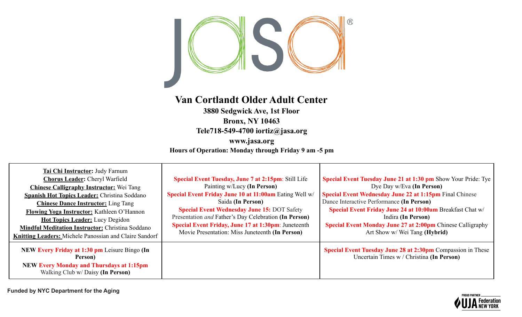

## **Van Cortlandt Older Adult Center**

**3880 Sedgwick Ave, 1st Floor Bronx, NY 10463 Tele718-549-4700 iortiz@jasa.org**

**www.jasa.org Hours of Operation: Monday through Friday 9 am -5 pm**

| <b>Tai Chi Instructor:</b> Judy Farnum<br><b>Chorus Leader: Cheryl Warfield</b><br><b>Chinese Calligraphy Instructor:</b> Wei Tang<br><b>Spanish Hot Topics Leader: Christina Soddano</b><br><b>Chinese Dance Instructor:</b> Ling Tang<br>Flowing Yoga Instructor: Kathleen O'Hannon<br><b>Hot Topics Leader:</b> Lucy Degidon<br><b>Mindful Meditation Instructor: Christina Soddano</b><br><b>Knitting Leaders:</b> Michele Panossian and Claire Sandorf | <b>Special Event Tuesday, June 7 at 2:15pm: Still Life</b><br>Painting w/Lucy (In Person)<br>Special Event Friday June 10 at 11:00am Eating Well w/<br>Saida (In Person)<br><b>Special Event Wednesday June 15: DOT Safety</b><br>Presentation and Father's Day Celebration (In Person)<br>Special Event Friday, June 17 at 1:30pm: Juneteenth<br>Movie Presentation: Miss Juneteenth (In Person) | Special Event Tuesday June 21 at 1:30 pm Show Your Pride: Tye<br>Dye Day w/Eva (In Person)<br><b>Special Event Wednesday June 22 at 1:15pm Final Chinese</b><br>Dance Interactive Performance (In Person)<br>Special Event Friday June 24 at 10:00am Breakfast Chat w/<br>Indira (In Person)<br>Special Event Monday June 27 at 2:00pm Chinese Calligraphy<br>Art Show w/ Wei Tang (Hybrid) |
|-------------------------------------------------------------------------------------------------------------------------------------------------------------------------------------------------------------------------------------------------------------------------------------------------------------------------------------------------------------------------------------------------------------------------------------------------------------|---------------------------------------------------------------------------------------------------------------------------------------------------------------------------------------------------------------------------------------------------------------------------------------------------------------------------------------------------------------------------------------------------|---------------------------------------------------------------------------------------------------------------------------------------------------------------------------------------------------------------------------------------------------------------------------------------------------------------------------------------------------------------------------------------------|
| NEW Every Friday at 1:30 pm Leisure Bingo (In<br>Person)<br><b>NEW Every Monday and Thursdays at 1:15pm</b><br>Walking Club w/ Daisy (In Person)                                                                                                                                                                                                                                                                                                            |                                                                                                                                                                                                                                                                                                                                                                                                   | Special Event Tuesday June 28 at 2:30pm Compassion in These<br>Uncertain Times w / Christina (In Person)                                                                                                                                                                                                                                                                                    |